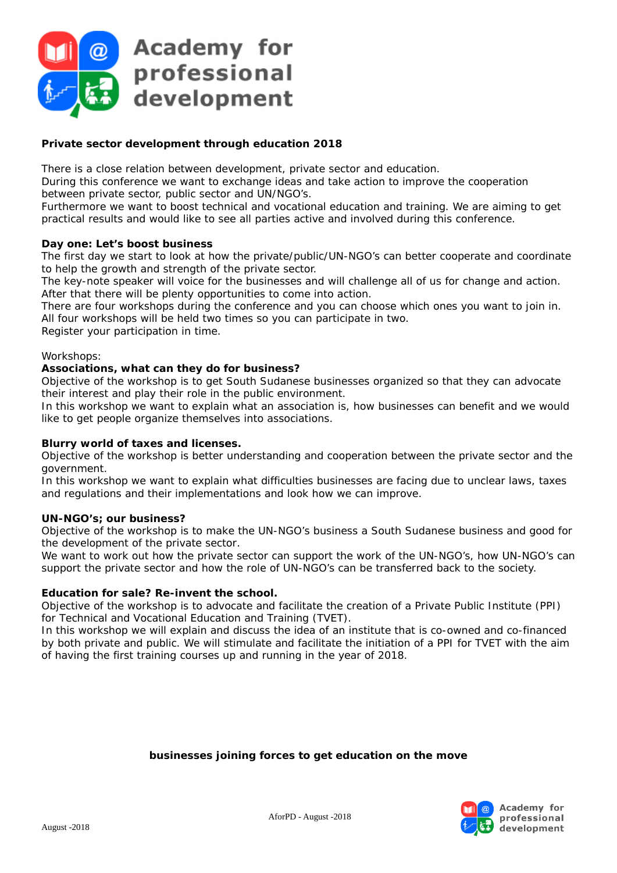AforPD - August -2018







### *Private sector development through education* **2018**

There is a close relation between development, private sector and education.

During this conference we want to exchange ideas and take action to improve the cooperation between private sector, public sector and UN/NGO's.

Furthermore we want to boost technical and vocational education and training. We are aiming to get practical results and would like to see all parties active and involved during this conference.

### **Day one: Let's boost business**

The first day we start to look at how the private/public/UN-NGO's can better cooperate and coordinate to help the growth and strength of the private sector.

The key-note speaker will voice for the businesses and will challenge all of us for change and action. After that there will be plenty opportunities to come into action.

There are four workshops during the conference and you can choose which ones you want to join in. All four workshops will be held two times so you can participate in two. Register your participation in time.

### Workshops:

### **Associations, what can they do for business?**

*Objective of the workshop is to get South Sudanese businesses organized so that they can advocate their interest and play their role in the public environment.*

In this workshop we want to explain what an association is, how businesses can benefit and we would like to get people organize themselves into associations.

# **Blurry world of taxes and licenses.**

*Objective of the workshop is better understanding and cooperation between the private sector and the government.*

In this workshop we want to explain what difficulties businesses are facing due to unclear laws, taxes and regulations and their implementations and look how we can improve.

# **UN-NGO's; our business?**

*Objective of the workshop is to make the UN-NGO's business a South Sudanese business and good for the development of the private sector.*

We want to work out how the private sector can support the work of the UN-NGO's, how UN-NGO's can support the private sector and how the role of UN-NGO's can be transferred back to the society.

# **Education for sale? Re-invent the school.**

*Objective of the workshop is to advocate and facilitate the creation of a Private Public Institute (PPI) for Technical and Vocational Education and Training (TVET).*

In this workshop we will explain and discuss the idea of an institute that is co-owned and co-financed by both private and public. We will stimulate and facilitate the initiation of a PPI for TVET with the aim of having the first training courses up and running in the year of 2018.

#### *businesses joining forces to get education on the move*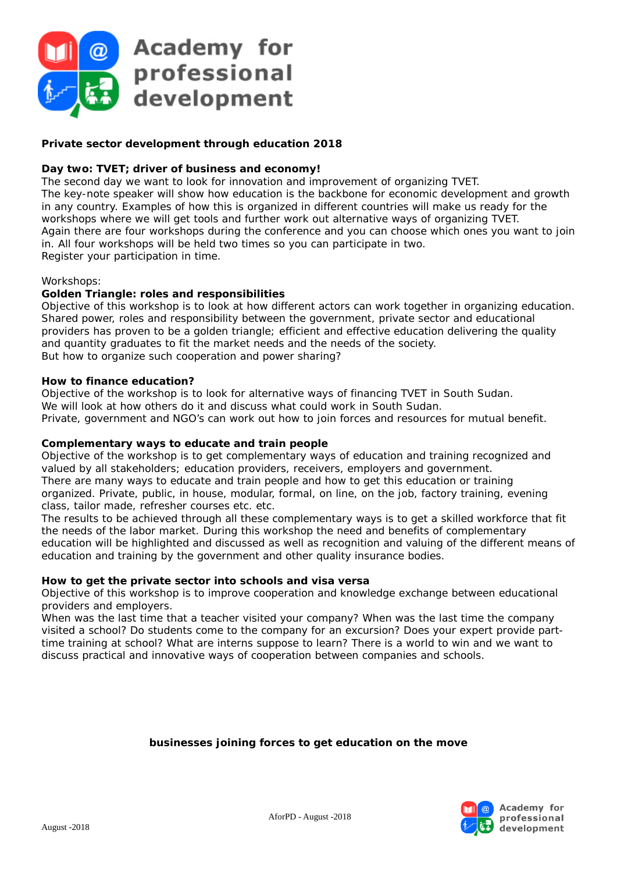AforPD - August -2018

August -2018





## *Private sector development through education* **2018**

### **Day two: TVET; driver of business and economy!**

The second day we want to look for innovation and improvement of organizing TVET. The key-note speaker will show how education is the backbone for economic development and growth in any country. Examples of how this is organized in different countries will make us ready for the workshops where we will get tools and further work out alternative ways of organizing TVET. Again there are four workshops during the conference and you can choose which ones you want to join in. All four workshops will be held two times so you can participate in two. Register your participation in time.

#### Workshops:

#### **Golden Triangle: roles and responsibilities**

*Objective of this workshop is to look at how different actors can work together in organizing education.* Shared power, roles and responsibility between the government, private sector and educational providers has proven to be a golden triangle; efficient and effective education delivering the quality and quantity graduates to fit the market needs and the needs of the society. But how to organize such cooperation and power sharing?

### **How to finance education?**

*Objective of the workshop is to look for alternative ways of financing TVET in South Sudan.* We will look at how others do it and discuss what could work in South Sudan. Private, government and NGO's can work out how to join forces and resources for mutual benefit.

### **Complementary ways to educate and train people**

*Objective of the workshop is to get complementary ways of education and training recognized and valued by all stakeholders; education providers, receivers, employers and government.* There are many ways to educate and train people and how to get this education or training organized. Private, public, in house, modular, formal, on line, on the job, factory training, evening class, tailor made, refresher courses etc. etc.

The results to be achieved through all these complementary ways is to get a skilled workforce that fit the needs of the labor market. During this workshop the need and benefits of complementary education will be highlighted and discussed as well as recognition and valuing of the different means of education and training by the government and other quality insurance bodies.

### **How to get the private sector into schools and visa versa**

*Objective of this workshop is to improve cooperation and knowledge exchange between educational providers and employers.*

When was the last time that a teacher visited your company? When was the last time the company visited a school? Do students come to the company for an excursion? Does your expert provide parttime training at school? What are interns suppose to learn? There is a world to win and we want to discuss practical and innovative ways of cooperation between companies and schools.

#### *businesses joining forces to get education on the move*